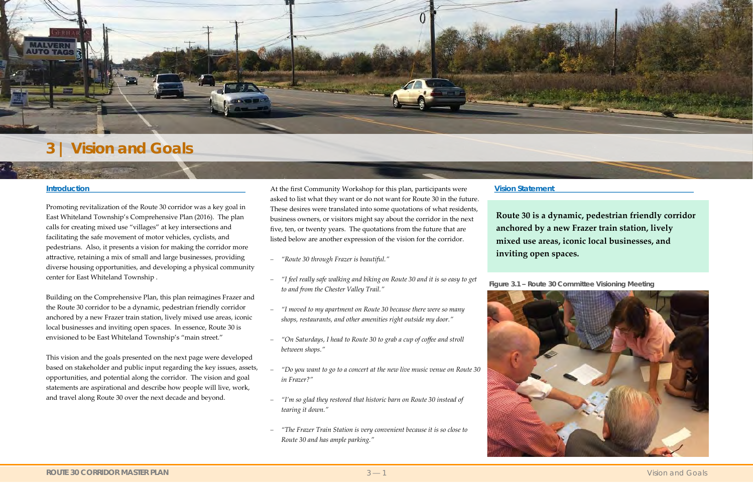#### **Introduction**

Promoting revitalization of the Route 30 corridor was a key goal in East Whiteland Township's Comprehensive Plan (2016). The plan calls for creating mixed use "villages" at key intersections and facilitating the safe movement of motor vehicles, cyclists, and pedestrians. Also, it presents a vision for making the corridor more attractive, retaining a mix of small and large businesses, providing diverse housing opportunities, and developing a physical community center for East Whiteland Township .

Building on the Comprehensive Plan, this plan reimagines Frazer and the Route 30 corridor to be a dynamic, pedestrian friendly corridor anchored by a new Frazer train station, lively mixed use areas, iconic local businesses and inviting open spaces. In essence, Route 30 is envisioned to be East Whiteland Township's "main street."

This vision and the goals presented on the next page were developed based on stakeholder and public input regarding the key issues, assets, opportunities, and potential along the corridor. The vision and goal statements are aspirational and describe how people will live, work, and travel along Route 30 over the next decade and beyond.

At the first Community Workshop for this plan, participants were asked to list what they want or do not want for Route 30 in the future. These desires were translated into some quotations of what residents, business owners, or visitors might say about the corridor in the next five, ten, or twenty years. The quotations from the future that are listed below are another expression of the vision for the corridor.

- *"Route 30 through Frazer is beautiful."*
- *"I feel really safe walking and biking on Route 30 and it is so easy to get to and from the Chester Valley Trail."*
- *"I moved to my apartment on Route 30 because there were so many shops, restaurants, and other amenities right outside my door."*
- *"On Saturdays, I head to Route 30 to grab a cup of coffee and stroll between shops."*
- *"Do you want to go to a concert at the new live music venue on Route 30 in Frazer?"*
- *"I'm so glad they restored that historic barn on Route 30 instead of tearing it down."*
- *"The Frazer Train Station is very convenient because it is so close to Route 30 and has ample parking."*

#### **Vision Statement**



**Route 30 is a dynamic, pedestrian friendly corridor anchored by a new Frazer train station, lively mixed use areas, iconic local businesses, and inviting open spaces.** 



**Figure 3.1 – Route 30 Committee Visioning Meeting**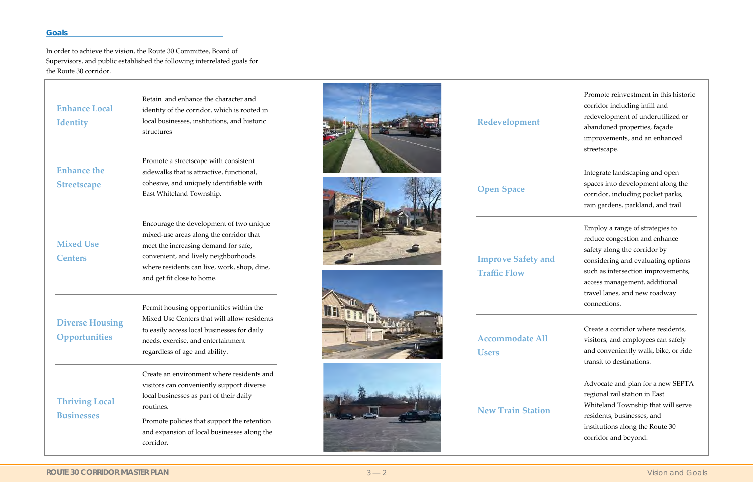| <b>Enhance Local</b><br><b>Identity</b>    | Retain and enhance the character and<br>identity of the corridor, which is rooted in<br>local businesses, institutions, and historic<br>structures                                                                                                        |
|--------------------------------------------|-----------------------------------------------------------------------------------------------------------------------------------------------------------------------------------------------------------------------------------------------------------|
| <b>Enhance the</b><br><b>Streetscape</b>   | Promote a streetscape with consistent<br>sidewalks that is attractive, functional,<br>cohesive, and uniquely identifiable with<br>East Whiteland Township.                                                                                                |
| <b>Mixed Use</b><br><b>Centers</b>         | Encourage the development of two unique<br>mixed-use areas along the corridor that<br>meet the increasing demand for safe,<br>convenient, and lively neighborhoods<br>where residents can live, work, shop, dine,<br>and get fit close to home.           |
| <b>Diverse Housing</b><br>Opportunities    | Permit housing opportunities within the<br>Mixed Use Centers that will allow residents<br>to easily access local businesses for daily<br>needs, exercise, and entertainment<br>regardless of age and ability.                                             |
| <b>Thriving Local</b><br><b>Businesses</b> | Create an environment where residents and<br>visitors can conveniently support diverse<br>local businesses as part of their daily<br>routines.<br>Promote policies that support the retention<br>and expansion of local businesses along the<br>corridor. |









## **Redevelopment**

Promote reinvestment in this historic corridor including infill and redevelopment of underutilized or abandoned properties, façade improvements, and an enhanced streetscape.

# **Open Space**

Integrate landscaping and open spaces into development along the corridor, including pocket parks, rain gardens, parkland, and trail

**Improve Safety and Traffic Flow**

Employ a range of strategies to reduce congestion and enhance safety along the corridor by considering and evaluating options such as intersection improvements, access management, additional travel lanes, and new roadway connections.

**Accommodate All Users**

Create a corridor where residents, visitors, and employees can safely and conveniently walk, bike, or ride transit to destinations.

**New Train Station**

Advocate and plan for a new SEPTA regional rail station in East Whiteland Township that will serve residents, businesses, and institutions along the Route 30 corridor and beyond.

### **Goals**

In order to achieve the vision, the Route 30 Committee, Board of Supervisors, and public established the following interrelated goals for the Route 30 corridor.